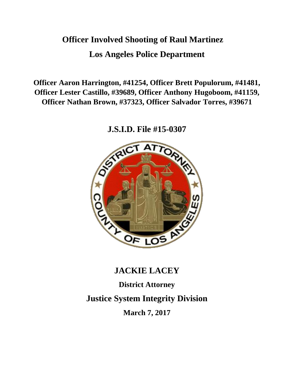# **Officer Involved Shooting of Raul Martinez Los Angeles Police Department**

**Officer Aaron Harrington, #41254, Officer Brett Populorum, #41481, Officer Lester Castillo, #39689, Officer Anthony Hugoboom, #41159, Officer Nathan Brown, #37323, Officer Salvador Torres, #39671**

**J.S.I.D. File #15-0307**



# **JACKIE LACEY**

**District Attorney Justice System Integrity Division March 7, 2017**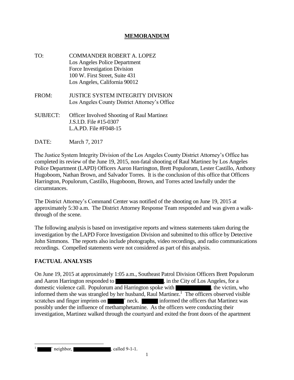# **MEMORANDUM**

- TO: COMMANDER ROBERT A. LOPEZ Los Angeles Police Department Force Investigation Division 100 W. First Street, Suite 431 Los Angeles, California 90012
- FROM: JUSTICE SYSTEM INTEGRITY DIVISION Los Angeles County District Attorney's Office
- SUBJECT: Officer Involved Shooting of Raul Martinez J.S.I.D. File #15-0307 L.A.PD. File #F048-15
- DATE: March 7, 2017

The Justice System Integrity Division of the Los Angeles County District Attorney's Office has completed its review of the June 19, 2015, non-fatal shooting of Raul Martinez by Los Angeles Police Department (LAPD) Officers Aaron Harrington, Brett Populorum, Lester Castillo, Anthony Hugoboom, Nathan Brown, and Salvador Torres. It is the conclusion of this office that Officers Harrington, Populorum, Castillo, Hugoboom, Brown, and Torres acted lawfully under the circumstances.

The District Attorney's Command Center was notified of the shooting on June 19, 2015 at approximately 5:30 a.m. The District Attorney Response Team responded and was given a walkthrough of the scene.

The following analysis is based on investigative reports and witness statements taken during the investigation by the LAPD Force Investigation Division and submitted to this office by Detective John Simmons. The reports also include photographs, video recordings, and radio communications recordings. Compelled statements were not considered as part of this analysis.

#### **FACTUAL ANALYSIS**

On June 19, 2015 at approximately 1:05 a.m., Southeast Patrol Division Officers Brett Populorum and Aaron Harrington responded to , in the City of Los Angeles, for a domestic violence call. Populorum and Harrington spoke with , the victim, who informed them she was strangled by her husband, Raul Martinez.<sup>1</sup> The officers observed visible scratches and finger imprints on  $\blacksquare$  ' neck. informed the officers that Martinez was possibly under the influence of methamphetamine. As the officers were conducting their investigation, Martinez walked through the courtyard and exited the front doors of the apartment

 $'$  neighbor, called 9-1-1.

1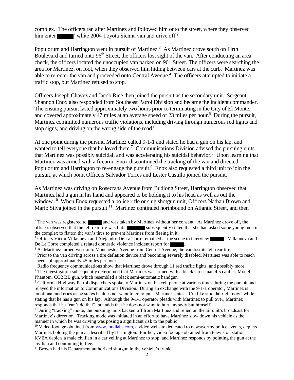complex. The officers ran after Martinez and followed him onto the street, where they observed him enter ' white 2004 Toyota Sienna van and drive off.<sup>2</sup>

Populorum and Harrington went in pursuit of Martinez.<sup>3</sup> As Martinez drove south on Firth Boulevard and turned onto 96<sup>th</sup> Street, the officers lost sight of the van. After conducting an area check, the officers located the unoccupied van parked on  $96<sup>th</sup>$  Street. The officers were searching the area for Martinez, on foot, when they observed him hiding between cars at the curb. Martinez was able to re-enter the van and proceeded onto Central Avenue.<sup>4</sup> The officers attempted to initiate a traffic stop, but Martinez refused to stop.

Officers Joseph Chavez and Jacob Rice then joined the pursuit as the secondary unit. Sergeant Shannon Enox also responded from Southeast Patrol Division and became the incident commander. The ensuing pursuit lasted approximately two hours prior to terminating in the City of El Monte, and covered approximately 47 miles at an average speed of 23 miles per hour.<sup>5</sup> During the pursuit, Martinez committed numerous traffic violations, including driving through numerous red lights and stop signs, and driving on the wrong side of the road.<sup>6</sup>

At one point during the pursuit, Martinez called 9-1-1 and stated he had a gun on his lap, and wanted to tell everyone that he loved them.<sup>7</sup> Communications Division advised the pursuing units that Martinez was possibly suicidal, and was accelerating his suicidal behavior.<sup>8</sup> Upon learning that Martinez was armed with a firearm, Enox discontinued the tracking of the van and directed Populorum and Harrington to re-engage the pursuit.<sup>9</sup> Enox also requested a third unit to join the pursuit, at which point Officers Salvador Torres and Lester Castillo joined the pursuit.

As Martinez was driving on Rosecrans Avenue from Budlong Street, Harrington observed that Martinez had a gun in his hand and appeared to be holding it to his head as well as out the window.<sup>10</sup> When Enox requested a police rifle or slug shotgun unit, Officers Nathan Brown and Mario Silva joined in the pursuit.<sup>11</sup> Martinez continued northbound on Atlantic Street, and then

<sup>&</sup>lt;sup>2</sup> The van was registered to and was taken by Martinez without her consent. As Martinez drove off, the officers observed that the left rear tire was flat. subsequently stated that she had asked some young men in the complex to flatten the van's tires to prevent Martinez from fleeing in it.

<sup>&</sup>lt;sup>3</sup> Officers Victor Villanueva and Alejandro De La Torre remained at the scene to interview . Villanueva and De La Torre completed a related domestic violence incident report for .

<sup>4</sup> As Martinez turned west onto Manchester Avenue from Central Avenue, the van lost its left rear tire.

<sup>&</sup>lt;sup>5</sup> Prior to the van driving across a tire deflation device and becoming severely disabled, Martinez was able to reach speeds of approximately 45 miles per hour.

<sup>&</sup>lt;sup>6</sup> Radio frequency communications show that Martinez drove through 11 red traffic lights, and possibly more.

<sup>&</sup>lt;sup>7</sup> The investigation subsequently determined that Martinez was armed with a black Crossman 4.5 caliber, Model Phantom, CO2 BB gun, which resembled a black semi-automatic handgun.

<sup>8</sup> California Highway Patrol dispatchers spoke to Martinez on his cell phone at various times during the pursuit and relayed the information to Communications Division. During an exchange with the 9-1-1 operator, Martinez is emotional and cries as he states he does not want to go to jail. Martinez states, "I'm like suicidal right now" while stating that he has a gun on his lap. Although the 9-1-1 operator pleads with Martinez to pull over, Martinez responds that he "can't do that", but adds that he does not want to hurt anybody but himself.

<sup>9</sup> During "tracking" mode, the pursuing units backed off from Martinez and relied on the air unit's broadcast for Martinez's direction. Tracking mode was initiated in an effort to have Martinez slow down his vehicle as the manner in which he was driving was posing a significant risk to the public.

 $10$  Video footage obtained from www.loudlabs.com, a video website dedicated to newsworthy police events, depicts Martinez holding the gun as described by Harrington. Further, video footage obtained from television station KVEA depicts a male civilian in a car yelling at Martinez to stop, and Martinez responds by pointing the gun at the civilian and continuing to flee.

<sup>&</sup>lt;sup>11</sup> Brown had his Department authorized shotgun in the vehicle's trunk.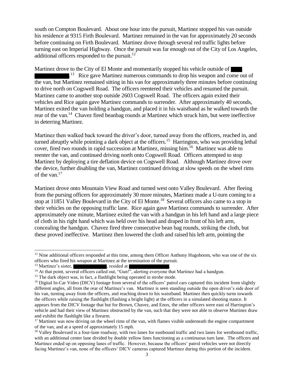south on Compton Boulevard. About one hour into the pursuit, Martinez stopped his van outside his residence at 9315 Firth Boulevard. Martinez remained in the van for approximately 20 seconds before continuing on Firth Boulevard. Martinez drove through several red traffic lights before turning east on Imperial Highway. Once the pursuit was far enough out of the City of Los Angeles, additional officers responded to the pursuit. $^{12}$ 

Martinez drove to the City of El Monte and momentarily stopped his vehicle outside of <sup>13</sup> Rice gave Martinez numerous commands to drop his weapon and come out of the van, but Martinez remained sitting in his van for approximately three minutes before continuing to drive north on Cogswell Road. The officers reentered their vehicles and resumed the pursuit. Martinez came to another stop outside 2603 Cogswell Road. The officers again exited their vehicles and Rice again gave Martinez commands to surrender. After approximately 40 seconds, Martinez exited the van holding a handgun, and placed it in his waistband as he walked towards the rear of the van.<sup>14</sup> Chavez fired beanbag rounds at Martinez which struck him, but were ineffective in deterring Martinez.

Martinez then walked back toward the driver's door, turned away from the officers, reached in, and turned abruptly while pointing a dark object at the officers.<sup>15</sup> Harrington, who was providing lethal cover, fired two rounds in rapid succession at Martinez, missing him.<sup>16</sup> Martinez was able to reenter the van, and continued driving north onto Cogswell Road. Officers attempted to stop Martinez by deploying a tire deflation device on Cogswell Road. Although Martinez drove over the device, further disabling the van, Martinez continued driving at slow speeds on the wheel rims of the van.<sup>17</sup>

Martinez drove onto Mountain View Road and turned west onto Valley Boulevard. After fleeing from the pursing officers for approximately 30 more minutes, Martinez made a U-turn coming to a stop at 11851 Valley Boulevard in the City of El Monte.<sup>18</sup> Several officers also came to a stop in their vehicles on the opposing traffic lane. Rice again gave Martinez commands to surrender. After approximately one minute, Martinez exited the van with a handgun in his left hand and a large piece of cloth in his right hand which was held over his head and draped in front of his left arm, concealing the handgun. Chavez fired three consecutive bean bag rounds, striking the cloth, but these proved ineffective. Martinez then lowered the cloth and raised his left arm, pointing the

 $\overline{a}$ 

 $12$  Nine additional officers responded at this time, among them Officer Anthony Hugoboom, who was one of the six officers who fired his weapon at Martinez at the termination of the pursuit.

<sup>&</sup>lt;sup>13</sup> Martinez's sister, state at . resided at .

<sup>&</sup>lt;sup>14</sup> At that point, several officers called out, "Gun!", alerting everyone that Martinez had a handgun.

<sup>&</sup>lt;sup>15</sup> The dark object was, in fact, a flashlight being operated in strobe mode.

<sup>&</sup>lt;sup>16</sup> Digital In-Car Video (DICV) footage from several of the officers' patrol cars captured this incident from slightly different angles, all from the rear of Martinez's van. Martinez is seen standing outside the open driver's side door of his van, turning away from the officers, and reaching down to his waistband. Martinez then quickly turns towards the officers while raising the flashlight (flashing a bright light) at the officers in a simulated shooting stance. It appears from the DICV footage that but for Brown, Chavez, and Enox, the other officers were east of Harrington's vehicle and had their view of Martinez obstructed by the van, such that they were not able to observe Martinez draw and exhibit the flashlight like a firearm.

 $17$  Martinez was now driving on the wheel rims of the van, with flames visible underneath the engine compartment of the van, and at a speed of approximately 15 mph.

<sup>&</sup>lt;sup>18</sup> Valley Boulevard is a four-lane roadway, with two lanes for eastbound traffic and two lanes for westbound traffic, with an additional center lane divided by double yellow lines functioning as a continuous turn lane. The officers and Martinez ended up on opposing lanes of traffic. However, because the officers' patrol vehicles were not directly facing Martinez's van, none of the officers' DICV cameras captured Martinez during this portion of the incident.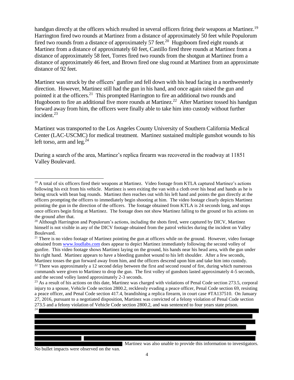handgun directly at the officers which resulted in several officers firing their weapons at Martinez.<sup>19</sup> Harrington fired two rounds at Martinez from a distance of approximately 50 feet while Populorum fired two rounds from a distance of approximately 57 feet.<sup>20</sup> Hugoboom fired eight rounds at Martinez from a distance of approximately 60 feet, Castillo fired three rounds at Martinez from a distance of approximately 58 feet, Torres fired two rounds from the shotgun at Martinez from a distance of approximately 46 feet, and Brown fired one slug round at Martinez from an approximate distance of 92 feet.

Martinez was struck by the officers' gunfire and fell down with his head facing in a northwesterly direction. However, Martinez still had the gun in his hand, and once again raised the gun and pointed it at the officers.<sup>21</sup> This prompted Harrington to fire an additional two rounds and Hugoboom to fire an additional five more rounds at Martinez.<sup>22</sup> After Martinez tossed his handgun forward away from him, the officers were finally able to take him into custody without further incident.<sup>23</sup>

Martinez was transported to the Los Angeles County University of Southern California Medical Center (LAC-USCMC) for medical treatment. Martinez sustained multiple gunshot wounds to his left torso, arm and  $leg.^{24}$ 

During a search of the area, Martinez's replica firearm was recovered in the roadway at 11851 Valley Boulevard.

<sup>&</sup>lt;sup>23</sup> As a result of his actions on this date, Martinez was charged with violations of Penal Code section 273.5, corporal injury to a spouse, Vehicle Code section 2800.2, recklessly evading a peace officer, Penal Code section 69, resisting a peace officer, and Penal Code section 417.4, brandishing a replica firearm, in court case #TA137510. On January 27, 2016, pursuant to a negotiated disposition, Martinez was convicted of a felony violation of Penal Code section 273.5 and a felony violation of Vehicle Code section 2800.2, and was sentenced to four years state prison.



No bullet impacts were observed on the van.

 $\overline{a}$ 

<sup>&</sup>lt;sup>19</sup> A total of six officers fired their weapons at Martinez. Video footage from KTLA captured Martinez's actions following his exit from his vehicle. Martinez is seen exiting the van with a cloth over his head and hands as he is being struck with bean bag rounds. Martinez then reaches out with his left hand and points the gun directly at the officers prompting the officers to immediately begin shooting at him. The video footage clearly depicts Martinez pointing the gun in the direction of the officers. The footage obtained from KTLA is 24 seconds long, and stops once officers begin firing at Martinez. The footage does not show Martinez falling to the ground or his actions on the ground after that.

<sup>&</sup>lt;sup>20</sup> Although Harrington and Populorum's actions, including the shots fired, were captured by DICV, Martinez himself is not visible in any of the DICV footage obtained from the patrol vehicles during the incident on Valley Boulevard.

 $21$  There is no video footage of Martinez pointing the gun at officers while on the ground. However, video footage obtained from www.loudlabs.com does appear to depict Martinez immediately following the second volley of gunfire. This video footage shows Martinez laying on the ground, his hands near his head area, with the gun under his right hand. Martinez appears to have a bleeding gunshot wound to his left shoulder. After a few seconds, Martinez tosses the gun forward away from him, and the officers descend upon him and take him into custody. <sup>22</sup> There was approximately a 12 second delay between the first and second round of fire, during which numerous commands were given to Martinez to drop the gun. The first volley of gunshots lasted approximately 4-5 seconds, and the second volley lasted approximately 2-3 seconds.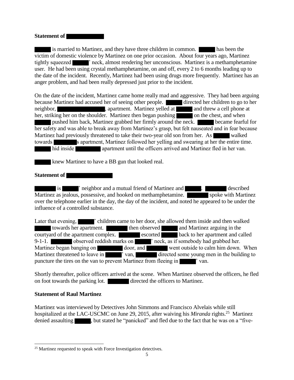#### **Statement of**

is married to Martinez, and they have three children in common. has been the victim of domestic violence by Martinez on one prior occasion. About four years ago, Martinez tightly squeezed **is a metally squeezed**  $\blacksquare$  is neck, almost rendering her unconscious. Martinez is a methamphetamine user. He had been using crystal methamphetamine, on and off, every 2 to 6 months leading up to the date of the incident. Recently, Martinez had been using drugs more frequently. Martinez has an anger problem, and had been really depressed just prior to the incident.

On the date of the incident, Martinez came home really mad and aggressive. They had been arguing because Martinez had accused her of seeing other people. directed her children to go to her neighbor, , apartment. Martinez yelled at and threw a cell phone at her, striking her on the shoulder. Martinez then began pushing on the chest, and when pushed him back, Martinez grabbed her firmly around the neck. **But all properties** became fearful for her safety and was able to break away from Martinez's grasp, but felt nauseated and in fear because Martinez had previously threatened to take their two-year old son from her. As walked towards s apartment, Martinez followed her yelling and swearing at her the entire time. hid inside apartment until the officers arrived and Martinez fled in her van.

knew Martinez to have a BB gun that looked real.

#### **Statement of**

is  $\blacksquare$  is ' neighbor and a mutual friend of Martinez and  $\blacksquare$ . Martinez as jealous, possessive, and hooked on methamphetamine. **Show in the Show is a spoke with Martinez** over the telephone earlier in the day, the day of the incident, and noted he appeared to be under the influence of a controlled substance.

Later that evening,  $\blacksquare$  ' children came to her door, she allowed them inside and then walked towards her apartment. then observed and Martinez arguing in the courtyard of the apartment complex. escorted back to her apartment and called 9-1-1.  $\blacksquare$  observed reddish marks on  $\blacksquare$  ' neck, as if somebody had grabbed her. Martinez began banging on door, and went outside to calm him down. When Martinez threatened to leave in  $\blacksquare$  ' van, directed some young men in the building to puncture the tires on the van to prevent Martinez from fleeing in  $\blacksquare$  ' van.

Shortly thereafter, police officers arrived at the scene. When Martinez observed the officers, he fled on foot towards the parking lot. directed the officers to Martinez.

#### **Statement of Raul Martinez**

l

Martinez was interviewed by Detectives John Simmons and Francisco Alvelais while still hospitalized at the LAC-USCMC on June 29, 2015, after waiving his *Miranda* rights.<sup>25</sup> Martinez denied assaulting stated he "panicked" and fled due to the fact that he was on a "five-

 $25$  Martinez requested to speak with Force Investigation detectives.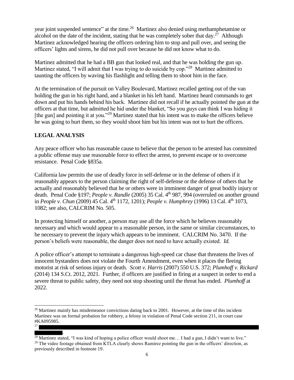year joint suspended sentence" at the time.<sup>26</sup> Martinez also denied using methamphetamine or alcohol on the date of the incident, stating that he was completely sober that day.<sup>27</sup> Although Martinez acknowledged hearing the officers ordering him to stop and pull over, and seeing the officers' lights and sirens, he did not pull over because he did not know what to do.

Martinez admitted that he had a BB gun that looked real, and that he was holding the gun up. Martinez stated, "I will admit that I was trying to do suicide by cop."<sup>28</sup> Martinez admitted to taunting the officers by waving his flashlight and telling them to shoot him in the face.

At the termination of the pursuit on Valley Boulevard, Martinez recalled getting out of the van holding the gun in his right hand, and a blanket in his left hand. Martinez heard commands to get down and put his hands behind his back. Martinez did not recall if he actually pointed the gun at the officers at that time, but admitted he hid under the blanket, "So you guys can think I was hiding it [the gun] and pointing it at you."<sup>29</sup> Martinez stated that his intent was to make the officers believe he was going to hurt them, so they would shoot him but his intent was not to hurt the officers.

## **LEGAL ANALYSIS**

 $\overline{a}$ 

Any peace officer who has reasonable cause to believe that the person to be arrested has committed a public offense may use reasonable force to effect the arrest, to prevent escape or to overcome resistance. Penal Code §835a.

California law permits the use of deadly force in self-defense or in the defense of others if it reasonably appears to the person claiming the right of self-defense or the defense of others that he actually and reasonably believed that he or others were in imminent danger of great bodily injury or death. Penal Code §197; *People v. Randle* (2005) 35 Cal. 4<sup>th</sup> 987, 994 (overruled on another ground in *People v. Chun* (2009) 45 Cal. 4<sup>th</sup> 1172, 1201); *People v. Humphrey* (1996) 13 Cal. 4<sup>th</sup> 1073, 1082; see also, CALCRIM No. 505.

In protecting himself or another, a person may use all the force which he believes reasonably necessary and which would appear to a reasonable person, in the same or similar circumstances, to be necessary to prevent the injury which appears to be imminent. CALCRIM No. 3470. If the person's beliefs were reasonable, the danger does not need to have actually existed. *Id.* 

A police officer's attempt to terminate a dangerous high-speed car chase that threatens the lives of innocent bystanders does not violate the Fourth Amendment, even when it places the fleeing motorist at risk of serious injury or death. *Scott v. Harris* (2007) 550 U.S. 372; *Plumhoff v. Rickard* (2014) 134 S.Ct. 2012, 2021. Further, if officers are justified in firing at a suspect in order to end a severe threat to public safety, they need not stop shooting until the threat has ended. *Plumhoff* at 2022.

 $26$  Martinez mainly has misdemeanor convictions dating back to 2001. However, at the time of this incident Martinez was on formal probation for robbery, a felony in violation of Penal Code section 211, in court case #KA095985. 27

<sup>.</sup>  $^{28}$  Martinez stated, "I was kind of hoping a police officer would shoot me... I had a gun, I didn't want to live."  $29$  The video footage obtained from KTLA clearly shows Ramirez pointing the gun in the officers' direction, as previously described in footnote 19.